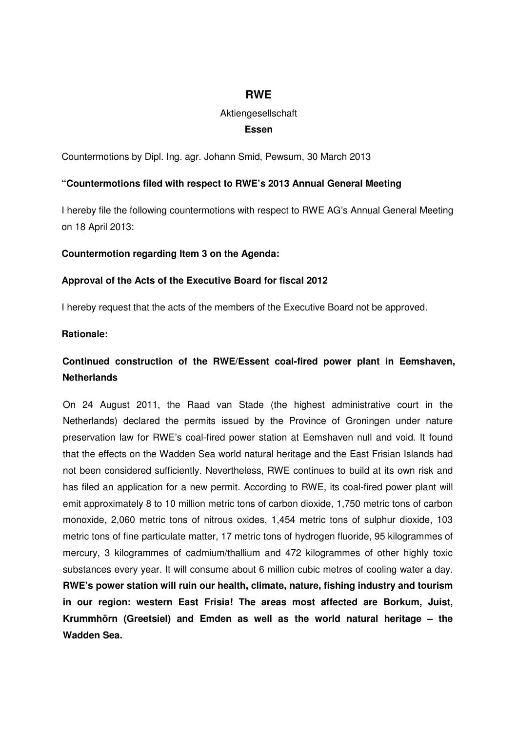# **RWE**

# Aktiengesellschaft

### **Essen**

Countermotions by Dipl. Ing. agr. Johann Smid, Pewsum, 30 March 2013

#### **"Countermotions filed with respect to RWE's 2013 Annual General Meeting**

I hereby file the following countermotions with respect to RWE AG's Annual General Meeting on 18 April 2013:

#### **Countermotion regarding Item 3 on the Agenda:**

#### **Approval of the Acts of the Executive Board for fiscal 2012**

I hereby request that the acts of the members of the Executive Board not be approved.

#### **Rationale:**

# **Continued construction of the RWE/Essent coal-fired power plant in Eemshaven, Netherlands**

On 24 August 2011, the Raad van Stade (the highest administrative court in the Netherlands) declared the permits issued by the Province of Groningen under nature preservation law for RWE's coal-fired power station at Eemshaven null and void. It found that the effects on the Wadden Sea world natural heritage and the East Frisian Islands had not been considered sufficiently. Nevertheless, RWE continues to build at its own risk and has filed an application for a new permit. According to RWE, its coal-fired power plant will emit approximately 8 to 10 million metric tons of carbon dioxide, 1,750 metric tons of carbon monoxide, 2,060 metric tons of nitrous oxides, 1,454 metric tons of sulphur dioxide, 103 metric tons of fine particulate matter, 17 metric tons of hydrogen fluoride, 95 kilogrammes of mercury, 3 kilogrammes of cadmium/thallium and 472 kilogrammes of other highly toxic substances every year. It will consume about 6 million cubic metres of cooling water a day. **RWE's power station will ruin our health, climate, nature, fishing industry and tourism in our region: western East Frisia! The areas most affected are Borkum, Juist, Krummhörn (Greetsiel) and Emden as well as the world natural heritage – the Wadden Sea.**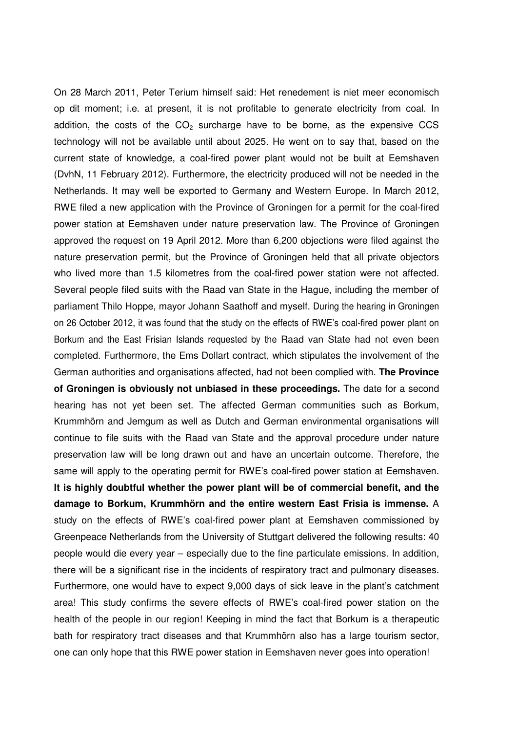On 28 March 2011, Peter Terium himself said: Het renedement is niet meer economisch op dit moment; i.e. at present, it is not profitable to generate electricity from coal. In addition, the costs of the  $CO<sub>2</sub>$  surcharge have to be borne, as the expensive CCS technology will not be available until about 2025. He went on to say that, based on the current state of knowledge, a coal-fired power plant would not be built at Eemshaven (DvhN, 11 February 2012). Furthermore, the electricity produced will not be needed in the Netherlands. It may well be exported to Germany and Western Europe. In March 2012, RWE filed a new application with the Province of Groningen for a permit for the coal-fired power station at Eemshaven under nature preservation law. The Province of Groningen approved the request on 19 April 2012. More than 6,200 objections were filed against the nature preservation permit, but the Province of Groningen held that all private objectors who lived more than 1.5 kilometres from the coal-fired power station were not affected. Several people filed suits with the Raad van State in the Hague, including the member of parliament Thilo Hoppe, mayor Johann Saathoff and myself. During the hearing in Groningen on 26 October 2012, it was found that the study on the effects of RWE's coal-fired power plant on Borkum and the East Frisian Islands requested by the Raad van State had not even been completed. Furthermore, the Ems Dollart contract, which stipulates the involvement of the German authorities and organisations affected, had not been complied with. **The Province of Groningen is obviously not unbiased in these proceedings.** The date for a second hearing has not yet been set. The affected German communities such as Borkum, Krummhörn and Jemgum as well as Dutch and German environmental organisations will continue to file suits with the Raad van State and the approval procedure under nature preservation law will be long drawn out and have an uncertain outcome. Therefore, the same will apply to the operating permit for RWE's coal-fired power station at Eemshaven. **It is highly doubtful whether the power plant will be of commercial benefit, and the damage to Borkum, Krummhörn and the entire western East Frisia is immense.** A study on the effects of RWE's coal-fired power plant at Eemshaven commissioned by Greenpeace Netherlands from the University of Stuttgart delivered the following results: 40 people would die every year – especially due to the fine particulate emissions. In addition, there will be a significant rise in the incidents of respiratory tract and pulmonary diseases. Furthermore, one would have to expect 9,000 days of sick leave in the plant's catchment area! This study confirms the severe effects of RWE's coal-fired power station on the health of the people in our region! Keeping in mind the fact that Borkum is a therapeutic bath for respiratory tract diseases and that Krummhörn also has a large tourism sector, one can only hope that this RWE power station in Eemshaven never goes into operation!